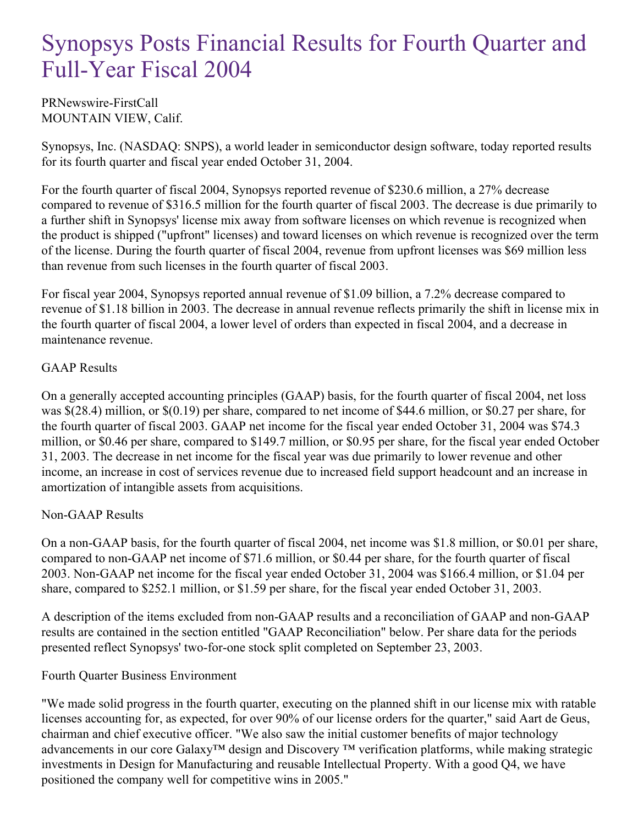# Synopsys Posts Financial Results for Fourth Quarter and Full-Year Fiscal 2004

PRNewswire-FirstCall MOUNTAIN VIEW, Calif.

Synopsys, Inc. (NASDAQ: SNPS), a world leader in semiconductor design software, today reported results for its fourth quarter and fiscal year ended October 31, 2004.

For the fourth quarter of fiscal 2004, Synopsys reported revenue of \$230.6 million, a 27% decrease compared to revenue of \$316.5 million for the fourth quarter of fiscal 2003. The decrease is due primarily to a further shift in Synopsys' license mix away from software licenses on which revenue is recognized when the product is shipped ("upfront" licenses) and toward licenses on which revenue is recognized over the term of the license. During the fourth quarter of fiscal 2004, revenue from upfront licenses was \$69 million less than revenue from such licenses in the fourth quarter of fiscal 2003.

For fiscal year 2004, Synopsys reported annual revenue of \$1.09 billion, a 7.2% decrease compared to revenue of \$1.18 billion in 2003. The decrease in annual revenue reflects primarily the shift in license mix in the fourth quarter of fiscal 2004, a lower level of orders than expected in fiscal 2004, and a decrease in maintenance revenue.

## GAAP Results

On a generally accepted accounting principles (GAAP) basis, for the fourth quarter of fiscal 2004, net loss was \$(28.4) million, or \$(0.19) per share, compared to net income of \$44.6 million, or \$0.27 per share, for the fourth quarter of fiscal 2003. GAAP net income for the fiscal year ended October 31, 2004 was \$74.3 million, or \$0.46 per share, compared to \$149.7 million, or \$0.95 per share, for the fiscal year ended October 31, 2003. The decrease in net income for the fiscal year was due primarily to lower revenue and other income, an increase in cost of services revenue due to increased field support headcount and an increase in amortization of intangible assets from acquisitions.

## Non-GAAP Results

On a non-GAAP basis, for the fourth quarter of fiscal 2004, net income was \$1.8 million, or \$0.01 per share, compared to non-GAAP net income of \$71.6 million, or \$0.44 per share, for the fourth quarter of fiscal 2003. Non-GAAP net income for the fiscal year ended October 31, 2004 was \$166.4 million, or \$1.04 per share, compared to \$252.1 million, or \$1.59 per share, for the fiscal year ended October 31, 2003.

A description of the items excluded from non-GAAP results and a reconciliation of GAAP and non-GAAP results are contained in the section entitled "GAAP Reconciliation" below. Per share data for the periods presented reflect Synopsys' two-for-one stock split completed on September 23, 2003.

## Fourth Quarter Business Environment

"We made solid progress in the fourth quarter, executing on the planned shift in our license mix with ratable licenses accounting for, as expected, for over 90% of our license orders for the quarter," said Aart de Geus, chairman and chief executive officer. "We also saw the initial customer benefits of major technology advancements in our core Galaxy™ design and Discovery ™ verification platforms, while making strategic investments in Design for Manufacturing and reusable Intellectual Property. With a good Q4, we have positioned the company well for competitive wins in 2005."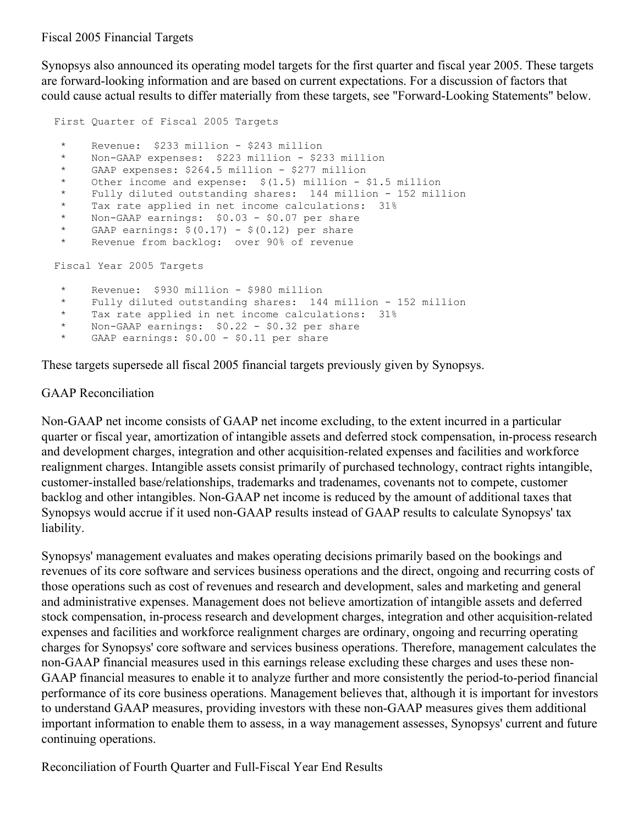### Fiscal 2005 Financial Targets

Synopsys also announced its operating model targets for the first quarter and fiscal year 2005. These targets are forward-looking information and are based on current expectations. For a discussion of factors that could cause actual results to differ materially from these targets, see "Forward-Looking Statements" below.

```
First Quarter of Fiscal 2005 Targets
 * Revenue: $233 million - $243 million
 * Non-GAAP expenses: $223 million - $233 million
      GAAP expenses: $264.5 million - $277 million
 * Other income and expense: $(1.5) million - $1.5 million
 * Fully diluted outstanding shares: 144 million - 152 million
     Tax rate applied in net income calculations: 31%
 * Non-GAAP earnings: $0.03 - $0.07 per share
 * GAAP earnings: $(0.17) - $(0.12) per share<br>* Revenue from backlog: over 90% of revenue
     Revenue from backlog: over 90% of revenue
Fiscal Year 2005 Targets
 * Revenue: $930 million - $980 million
     Fully diluted outstanding shares: 144 million - 152 million
 * Tax rate applied in net income calculations: 31%<br>* Non-GAAP earnings: $0.22 - $0.32 per share
 * Non-GAAP earnings: $0.22 - $0.32 per share
      GAAP earnings: $0.00 - $0.11 per share
```
These targets supersede all fiscal 2005 financial targets previously given by Synopsys.

## GAAP Reconciliation

Non-GAAP net income consists of GAAP net income excluding, to the extent incurred in a particular quarter or fiscal year, amortization of intangible assets and deferred stock compensation, in-process research and development charges, integration and other acquisition-related expenses and facilities and workforce realignment charges. Intangible assets consist primarily of purchased technology, contract rights intangible, customer-installed base/relationships, trademarks and tradenames, covenants not to compete, customer backlog and other intangibles. Non-GAAP net income is reduced by the amount of additional taxes that Synopsys would accrue if it used non-GAAP results instead of GAAP results to calculate Synopsys' tax liability.

Synopsys' management evaluates and makes operating decisions primarily based on the bookings and revenues of its core software and services business operations and the direct, ongoing and recurring costs of those operations such as cost of revenues and research and development, sales and marketing and general and administrative expenses. Management does not believe amortization of intangible assets and deferred stock compensation, in-process research and development charges, integration and other acquisition-related expenses and facilities and workforce realignment charges are ordinary, ongoing and recurring operating charges for Synopsys' core software and services business operations. Therefore, management calculates the non-GAAP financial measures used in this earnings release excluding these charges and uses these non-GAAP financial measures to enable it to analyze further and more consistently the period-to-period financial performance of its core business operations. Management believes that, although it is important for investors to understand GAAP measures, providing investors with these non-GAAP measures gives them additional important information to enable them to assess, in a way management assesses, Synopsys' current and future continuing operations.

Reconciliation of Fourth Quarter and Full-Fiscal Year End Results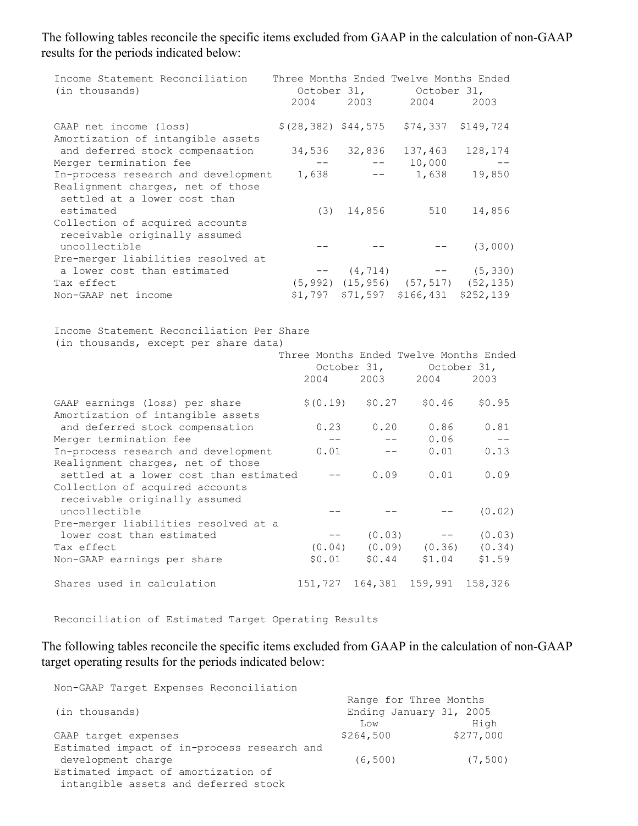The following tables reconcile the specific items excluded from GAAP in the calculation of non-GAAP results for the periods indicated below:

| Income Statement Reconciliation<br>(in thousands)                                                          | October 31,<br>2004 | 2003                                | Three Months Ended Twelve Months Ended<br>October 31,<br>2004                  | 2003                       |
|------------------------------------------------------------------------------------------------------------|---------------------|-------------------------------------|--------------------------------------------------------------------------------|----------------------------|
| GAAP net income (loss)<br>Amortization of intangible assets                                                |                     |                                     | $$(28, 382)$ $$44, 575$ $$74, 337$                                             | \$149,724                  |
| and deferred stock compensation<br>Merger termination fee                                                  | $--$                | 34,536 32,836<br>$--$               | 137,463<br>10,000                                                              | 128,174                    |
| In-process research and development<br>Realignment charges, net of those<br>settled at a lower cost than   | 1,638               | $-\,-$                              | 1,638                                                                          | 19,850                     |
| estimated<br>Collection of acquired accounts<br>receivable originally assumed                              | (3)                 | 14,856                              | 510                                                                            | 14,856                     |
| uncollectible<br>Pre-merger liabilities resolved at                                                        | $- -$               |                                     |                                                                                | (3,000)                    |
| a lower cost than estimated<br>Tax effect                                                                  |                     | $--$ (4,714)                        | $(5, 992)$ $(15, 956)$ $(57, 517)$ $(52, 135)$                                 | $--$ (5,330)               |
| Non-GAAP net income                                                                                        | \$1,797             |                                     | \$71,597 \$166,431 \$252,139                                                   |                            |
| Income Statement Reconciliation Per Share<br>(in thousands, except per share data)                         | 2004                |                                     | Three Months Ended Twelve Months Ended<br>October 31, October 31,<br>2003 2004 | 2003                       |
| GAAP earnings (loss) per share<br>Amortization of intangible assets                                        |                     | $$ (0.19) \qquad $0.27$$            | \$0.46                                                                         | \$0.95                     |
| and deferred stock compensation<br>Merger termination fee                                                  | 0.23                | 0.20<br>$--$                        | 0.86<br>0.06<br>$- -$                                                          | 0.81<br>$- -$              |
| In-process research and development<br>Realignment charges, net of those                                   | 0.01                |                                     | 0.01<br>$\qquad \qquad -$                                                      | 0.13                       |
| settled at a lower cost than estimated<br>Collection of acquired accounts<br>receivable originally assumed |                     | 0.09<br>$- -$                       | 0.01                                                                           | 0.09                       |
| uncollectible<br>Pre-merger liabilities resolved at a                                                      |                     |                                     |                                                                                | (0.02)                     |
| lower cost than estimated<br>Tax effect<br>Non-GAAP earnings per share                                     | (0.04)<br>\$0.01    | (0.03)<br>$- -$<br>(0.09)<br>\$0.44 | $---$<br>(0.36)<br>\$1.04                                                      | (0.03)<br>(0.34)<br>\$1.59 |
| Shares used in calculation                                                                                 |                     |                                     | 151,727 164,381 159,991 158,326                                                |                            |

Reconciliation of Estimated Target Operating Results

The following tables reconcile the specific items excluded from GAAP in the calculation of non-GAAP target operating results for the periods indicated below:

Non-GAAP Target Expenses Reconciliation

|                                             | Range for Three Months  |           |
|---------------------------------------------|-------------------------|-----------|
| (in thousands)                              | Ending January 31, 2005 |           |
|                                             | Low                     | High      |
| GAAP target expenses                        | \$264,500               | \$277,000 |
| Estimated impact of in-process research and |                         |           |
| development charge                          | (6, 500)                | (7, 500)  |
| Estimated impact of amortization of         |                         |           |
| intangible assets and deferred stock        |                         |           |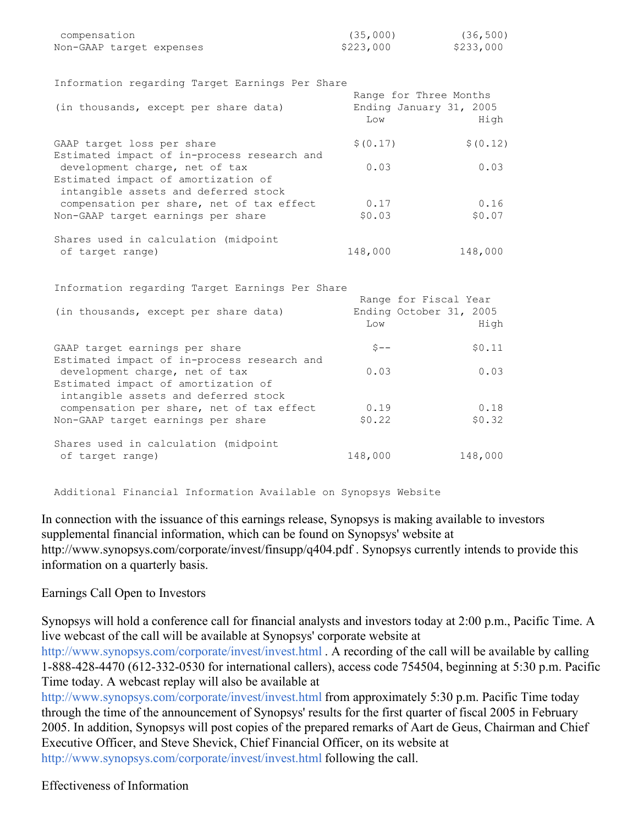| compensation             | (35,000)  | (36, 500) |
|--------------------------|-----------|-----------|
| Non-GAAP tarqet expenses | \$223,000 | \$233,000 |

| Information regarding Target Earnings Per Share                             |           |                         |
|-----------------------------------------------------------------------------|-----------|-------------------------|
|                                                                             |           | Range for Three Months  |
| (in thousands, except per share data)                                       |           | Ending January 31, 2005 |
|                                                                             | Low       | High                    |
| GAAP target loss per share                                                  | \$ (0.17) | \$ (0.12)               |
| Estimated impact of in-process research and                                 |           |                         |
| development charge, net of tax                                              | 0.03      | 0.03                    |
| Estimated impact of amortization of<br>intangible assets and deferred stock |           |                         |
| compensation per share, net of tax effect                                   | 0.17      | 0.16                    |
| Non-GAAP target earnings per share                                          | \$0.03    | \$0.07                  |
|                                                                             |           |                         |
| Shares used in calculation (midpoint                                        |           |                         |
| of target range)                                                            | 148,000   | 148,000                 |
|                                                                             |           |                         |
| Information regarding Target Earnings Per Share                             |           |                         |
|                                                                             |           | Range for Fiscal Year   |
| (in thousands, except per share data)                                       |           | Ending October 31, 2005 |
|                                                                             | Low       | High                    |
| GAAP target earnings per share                                              | $S--$     | \$0.11                  |
| Estimated impact of in-process research and                                 |           |                         |
| development charge, net of tax                                              | 0.03      | 0.03                    |
| Estimated impact of amortization of<br>intangible assets and deferred stock |           |                         |
| compensation per share, net of tax effect                                   | 0.19      | 0.18                    |
| Non-GAAP target earnings per share                                          | \$0.22    | \$0.32                  |
| Shares used in calculation (midpoint                                        |           |                         |
| of target range)                                                            | 148,000   | 148,000                 |
|                                                                             |           |                         |

Additional Financial Information Available on Synopsys Website

In connection with the issuance of this earnings release, Synopsys is making available to investors supplemental financial information, which can be found on Synopsys' website at http://www.synopsys.com/corporate/invest/finsupp/q404.pdf . Synopsys currently intends to provide this information on a quarterly basis.

#### Earnings Call Open to Investors

Synopsys will hold a conference call for financial analysts and investors today at 2:00 p.m., Pacific Time. A live webcast of the call will be available at Synopsys' corporate website at

<http://www.synopsys.com/corporate/invest/invest.html> . A recording of the call will be available by calling 1-888-428-4470 (612-332-0530 for international callers), access code 754504, beginning at 5:30 p.m. Pacific Time today. A webcast replay will also be available at

<http://www.synopsys.com/corporate/invest/invest.html> from approximately 5:30 p.m. Pacific Time today through the time of the announcement of Synopsys' results for the first quarter of fiscal 2005 in February 2005. In addition, Synopsys will post copies of the prepared remarks of Aart de Geus, Chairman and Chief Executive Officer, and Steve Shevick, Chief Financial Officer, on its website at <http://www.synopsys.com/corporate/invest/invest.html> following the call.

Effectiveness of Information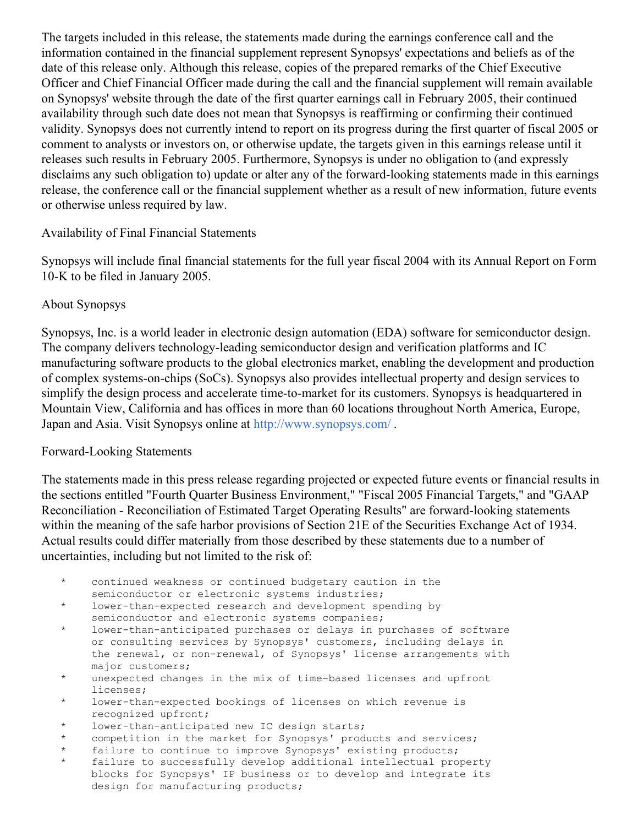The targets included in this release, the statements made during the earnings conference call and the information contained in the financial supplement represent Synopsys' expectations and beliefs as of the date of this release only. Although this release, copies of the prepared remarks of the Chief Executive Officer and Chief Financial Officer made during the call and the financial supplement will remain available on Synopsys' website through the date of the first quarter earnings call in February 2005, their continued availability through such date does not mean that Synopsys is reaffirming or confirming their continued validity. Synopsys does not currently intend to report on its progress during the first quarter of fiscal 2005 or comment to analysts or investors on, or otherwise update, the targets given in this earnings release until it releases such results in February 2005. Furthermore, Synopsys is under no obligation to (and expressly disclaims any such obligation to) update or alter any of the forward-looking statements made in this earnings release, the conference call or the financial supplement whether as a result of new information, future events or otherwise unless required by law.

## Availability of Final Financial Statements

Synopsys will include final financial statements for the full year fiscal 2004 with its Annual Report on Form 10-K to be filed in January 2005.

## About Synopsys

Synopsys, Inc. is a world leader in electronic design automation (EDA) software for semiconductor design. The company delivers technology-leading semiconductor design and verification platforms and IC manufacturing software products to the global electronics market, enabling the development and production of complex systems-on-chips (SoCs). Synopsys also provides intellectual property and design services to simplify the design process and accelerate time-to-market for its customers. Synopsys is headquartered in Mountain View, California and has offices in more than 60 locations throughout North America, Europe, Japan and Asia. Visit Synopsys online at <http://www.synopsys.com/> .

## Forward-Looking Statements

The statements made in this press release regarding projected or expected future events or financial results in the sections entitled "Fourth Quarter Business Environment," "Fiscal 2005 Financial Targets," and "GAAP Reconciliation - Reconciliation of Estimated Target Operating Results" are forward-looking statements within the meaning of the safe harbor provisions of Section 21E of the Securities Exchange Act of 1934. Actual results could differ materially from those described by these statements due to a number of uncertainties, including but not limited to the risk of:

- \* continued weakness or continued budgetary caution in the semiconductor or electronic systems industries;
- \* lower-than-expected research and development spending by semiconductor and electronic systems companies;
- \* lower-than-anticipated purchases or delays in purchases of software or consulting services by Synopsys' customers, including delays in the renewal, or non-renewal, of Synopsys' license arrangements with major customers;
- \* unexpected changes in the mix of time-based licenses and upfront licenses;
- \* lower-than-expected bookings of licenses on which revenue is recognized upfront;
- \* lower-than-anticipated new IC design starts;
- \* competition in the market for Synopsys' products and services;
- \* failure to continue to improve Synopsys' existing products;
- failure to successfully develop additional intellectual property blocks for Synopsys' IP business or to develop and integrate its design for manufacturing products;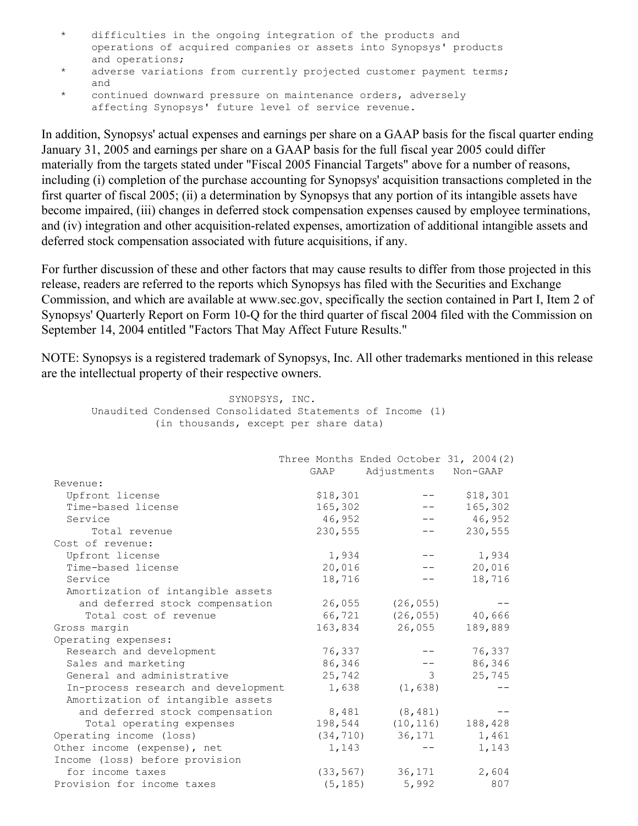- \* difficulties in the ongoing integration of the products and operations of acquired companies or assets into Synopsys' products and operations;
- \* adverse variations from currently projected customer payment terms; and
- \* continued downward pressure on maintenance orders, adversely affecting Synopsys' future level of service revenue.

In addition, Synopsys' actual expenses and earnings per share on a GAAP basis for the fiscal quarter ending January 31, 2005 and earnings per share on a GAAP basis for the full fiscal year 2005 could differ materially from the targets stated under "Fiscal 2005 Financial Targets" above for a number of reasons, including (i) completion of the purchase accounting for Synopsys' acquisition transactions completed in the first quarter of fiscal 2005; (ii) a determination by Synopsys that any portion of its intangible assets have become impaired, (iii) changes in deferred stock compensation expenses caused by employee terminations, and (iv) integration and other acquisition-related expenses, amortization of additional intangible assets and deferred stock compensation associated with future acquisitions, if any.

For further discussion of these and other factors that may cause results to differ from those projected in this release, readers are referred to the reports which Synopsys has filed with the Securities and Exchange Commission, and which are available at www.sec.gov, specifically the section contained in Part I, Item 2 of Synopsys' Quarterly Report on Form 10-Q for the third quarter of fiscal 2004 filed with the Commission on September 14, 2004 entitled "Factors That May Affect Future Results."

NOTE: Synopsys is a registered trademark of Synopsys, Inc. All other trademarks mentioned in this release are the intellectual property of their respective owners.

SYNOPSYS, INC. Unaudited Condensed Consolidated Statements of Income (1) (in thousands, except per share data) Three Months Ended October 31, 2004(2) GAAP Adjustments Non-GAAP Revenue: Upfront license \$18,301 -- \$18,301 Front license<br>
Time-based license 165,302<br>
Service 165,302<br>
Total revenue 230,555 Service 36,952 -- 46,952 Total revenue 230,555 -- 230,555 Cost of revenue: Upfront license 1,934 -- 1,934 Time-based license 20,016 -- 20,016 Service 18,716 -- 18,716 Amortization of intangible assets and deferred stock compensation  $26,055$  (26,055) --Total cost of revenue 66,721 (26,055) 40,666 Gross margin 163,834 26,055 189,889 Operating expenses: Research and development<br>
Sales and marketing<br>
General and administrative<br>
76,337 -- 76,337<br>
76,337 -- 76,337<br>
76,337 -- 76,337<br>
86,346<br>
25,742<br>
3 25,745 Research and development<br>
Sales and marketing<br>
General and administrative<br>
In-process research and development<br>  $\begin{array}{ccc}\n 36,346 & -- \\
 -5,742 & 3 \\
 \text{In-process research and development} & 1,638 \\
 \text{Momentum of interaction of the system.} & 1,638\n \end{array}$ General and administrative In-process research and development 1,638 (1,638) --Amortization of intangible assets and deferred stock compensation 8,481 (8,481) --Total operating expenses 198,544 (10,116) 188,428 Operating income (loss)<br>
Other income (expense), net  $(34,710)$   $36,171$   $1,461$ <br>  $1,143$  --  $1,143$ Other income (expense), net  $1,143$  --  $1,143$ Income (loss) before provision for income taxes (33,567) 36,171 2,604 Provision for income taxes (5,185) 5,992 807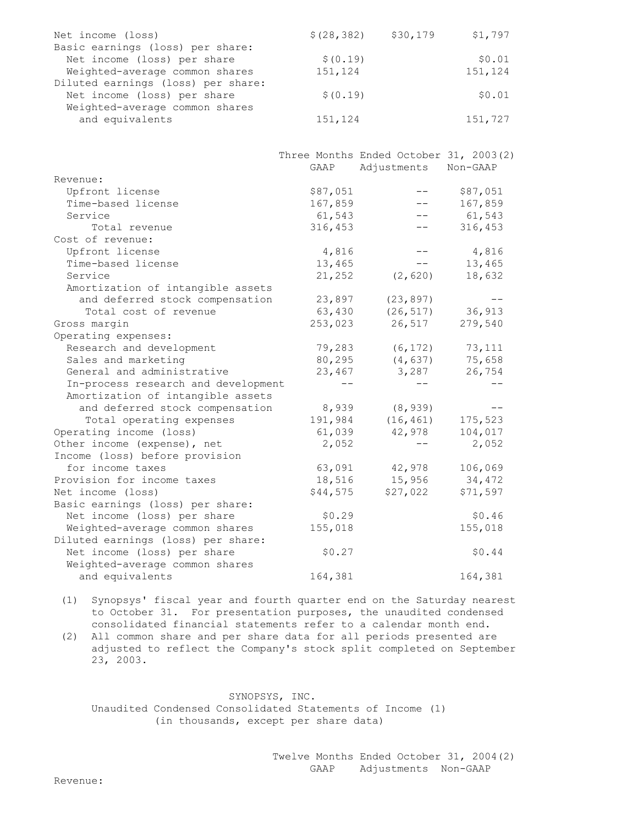| \$(28, 382) | \$30,179 | \$1,797 |
|-------------|----------|---------|
|             |          |         |
| \$ (0.19)   |          | \$0.01  |
| 151,124     |          | 151,124 |
|             |          |         |
| \$ (0.19)   |          | \$0.01  |
|             |          |         |
| 151,124     |          | 151,727 |
|             |          |         |

|                                     |          | Three Months Ended October 31, 2003(2) |          |
|-------------------------------------|----------|----------------------------------------|----------|
|                                     | GAAP     | Adjustments Non-GAAP                   |          |
| Revenue:                            |          |                                        |          |
| Upfront license                     | \$87,051 |                                        | \$87,051 |
| Time-based license                  | 167,859  |                                        | 167,859  |
| Service                             | 61,543   |                                        | 61,543   |
| Total revenue                       | 316,453  |                                        | 316,453  |
| Cost of revenue:                    |          |                                        |          |
| Upfront license                     | 4,816    |                                        | 4,816    |
| Time-based license                  | 13,465   |                                        | 13,465   |
| Service                             | 21,252   | (2, 620)                               | 18,632   |
| Amortization of intangible assets   |          |                                        |          |
| and deferred stock compensation     | 23,897   | (23, 897)                              |          |
| Total cost of revenue               | 63,430   | (26, 517)                              | 36,913   |
| Gross margin                        | 253,023  | 26,517                                 | 279,540  |
| Operating expenses:                 |          |                                        |          |
| Research and development            | 79,283   | (6, 172)                               | 73,111   |
| Sales and marketing                 | 80,295   | (4, 637)                               | 75,658   |
| General and administrative          | 23,467   | 3,287                                  | 26,754   |
| In-process research and development |          |                                        |          |
| Amortization of intangible assets   |          |                                        |          |
| and deferred stock compensation     | 8,939    | (8, 939)                               |          |
| Total operating expenses            | 191,984  | (16, 461)                              | 175,523  |
| Operating income (loss)             | 61,039   | 42,978                                 | 104,017  |
| Other income (expense), net         | 2,052    |                                        | 2,052    |
| Income (loss) before provision      |          |                                        |          |
| for income taxes                    | 63,091   | 42,978                                 | 106,069  |
| Provision for income taxes          | 18,516   | 15,956                                 | 34,472   |
| Net income (loss)                   | \$44,575 | \$27,022                               | \$71,597 |
| Basic earnings (loss) per share:    |          |                                        |          |
| Net income (loss) per share         | \$0.29   |                                        | \$0.46   |
| Weighted-average common shares      | 155,018  |                                        | 155,018  |
| Diluted earnings (loss) per share:  |          |                                        |          |
| Net income (loss) per share         | \$0.27   |                                        | \$0.44   |
| Weighted-average common shares      |          |                                        |          |
| and equivalents                     | 164,381  |                                        | 164,381  |

(1) Synopsys' fiscal year and fourth quarter end on the Saturday nearest to October 31. For presentation purposes, the unaudited condensed consolidated financial statements refer to a calendar month end.

(2) All common share and per share data for all periods presented are adjusted to reflect the Company's stock split completed on September 23, 2003.

SYNOPSYS, INC. Unaudited Condensed Consolidated Statements of Income (1) (in thousands, except per share data)

> Twelve Months Ended October 31, 2004(2) GAAP Adjustments Non-GAAP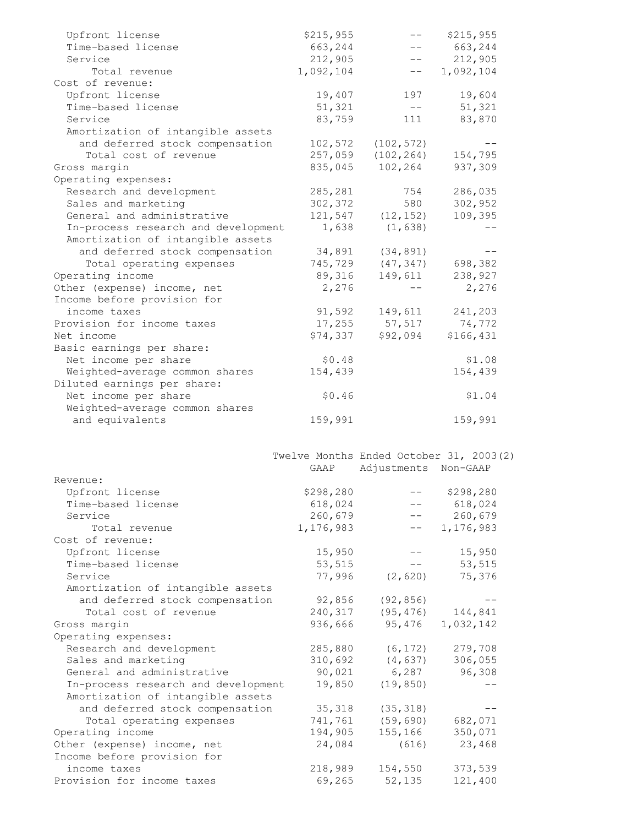| Upfront license                     | \$215,955                               | ——                   | \$215,955 |  |
|-------------------------------------|-----------------------------------------|----------------------|-----------|--|
| Time-based license                  | 663,244                                 |                      | 663,244   |  |
| Service                             | 212,905                                 |                      | 212,905   |  |
| Total revenue                       | 1,092,104                               | $- -$                | 1,092,104 |  |
| Cost of revenue:                    |                                         |                      |           |  |
| Upfront license                     | 19,407                                  | 197                  | 19,604    |  |
| Time-based license                  | 51,321                                  | $-\,-$               | 51,321    |  |
| Service                             | 83,759                                  | 111                  | 83,870    |  |
| Amortization of intangible assets   |                                         |                      |           |  |
| and deferred stock compensation     | 102,572                                 | (102, 572)           |           |  |
| Total cost of revenue               |                                         | (102, 264)           | 154,795   |  |
|                                     | 257,059                                 |                      |           |  |
| Gross margin                        | 835,045                                 | 102,264              | 937,309   |  |
| Operating expenses:                 |                                         |                      |           |  |
| Research and development            | 285,281                                 | 754                  | 286,035   |  |
| Sales and marketing                 | 302,372                                 | 580                  | 302,952   |  |
| General and administrative          | 121,547                                 | (12, 152)            | 109,395   |  |
| In-process research and development | 1,638                                   | (1, 638)             |           |  |
| Amortization of intangible assets   |                                         |                      |           |  |
| and deferred stock compensation     | 34,891                                  | (34, 891)            |           |  |
| Total operating expenses            | 745,729                                 | (47, 347)            | 698,382   |  |
| Operating income                    | 89,316                                  | 149,611              | 238,927   |  |
| Other (expense) income, net         | 2,276                                   |                      | 2,276     |  |
| Income before provision for         |                                         |                      |           |  |
| income taxes                        | 91,592                                  | 149,611              | 241,203   |  |
| Provision for income taxes          | 17,255                                  | 57,517               | 74,772    |  |
| Net income                          | \$74,337                                | \$92,094             | \$166,431 |  |
| Basic earnings per share:           |                                         |                      |           |  |
| Net income per share                | \$0.48                                  |                      | \$1.08    |  |
| Weighted-average common shares      | 154,439                                 |                      | 154,439   |  |
| Diluted earnings per share:         |                                         |                      |           |  |
| Net income per share                |                                         |                      |           |  |
|                                     | \$0.46                                  |                      | \$1.04    |  |
|                                     |                                         |                      |           |  |
| Weighted-average common shares      |                                         |                      |           |  |
| and equivalents                     | 159,991                                 |                      | 159,991   |  |
|                                     |                                         |                      |           |  |
|                                     |                                         |                      |           |  |
|                                     | Twelve Months Ended October 31, 2003(2) |                      |           |  |
|                                     | GAAP                                    | Adjustments Non-GAAP |           |  |
| Revenue:                            |                                         |                      |           |  |
| Upfront license                     | \$298,280                               |                      | \$298,280 |  |
| Time-based license                  | 618,024                                 |                      | 618,024   |  |
| Service                             | 260,679                                 |                      | 260,679   |  |
| Total revenue                       | 1,176,983                               |                      | 1,176,983 |  |
| Cost of revenue:                    |                                         |                      |           |  |
| Upfront license                     | 15,950                                  |                      | 15,950    |  |
| Time-based license                  | 53,515                                  |                      | 53,515    |  |
| Service                             |                                         |                      |           |  |
|                                     | 77,996                                  | (2, 620)             | 75,376    |  |
| Amortization of intangible assets   |                                         |                      |           |  |
| and deferred stock compensation     | 92,856                                  | (92, 856)            |           |  |
| Total cost of revenue               | 240,317                                 | (95, 476)            | 144,841   |  |
| Gross margin                        | 936,666                                 | 95,476               | 1,032,142 |  |
| Operating expenses:                 |                                         |                      |           |  |
| Research and development            | 285,880                                 | (6, 172)             | 279,708   |  |
| Sales and marketing                 | 310,692                                 | (4, 637)             | 306,055   |  |
| General and administrative          | 90,021                                  | 6,287                | 96,308    |  |
| In-process research and development | 19,850                                  | (19, 850)            |           |  |
| Amortization of intangible assets   |                                         |                      |           |  |
| and deferred stock compensation     | 35,318                                  | (35, 318)            |           |  |
| Total operating expenses            | 741,761                                 | (59, 690)            | 682,071   |  |
| Operating income                    | 194,905                                 | 155,166              | 350,071   |  |
| Other (expense) income, net         | 24,084                                  | (616)                | 23,468    |  |
| Income before provision for         |                                         |                      |           |  |
| income taxes                        | 218,989<br>69,265                       | 154,550              | 373,539   |  |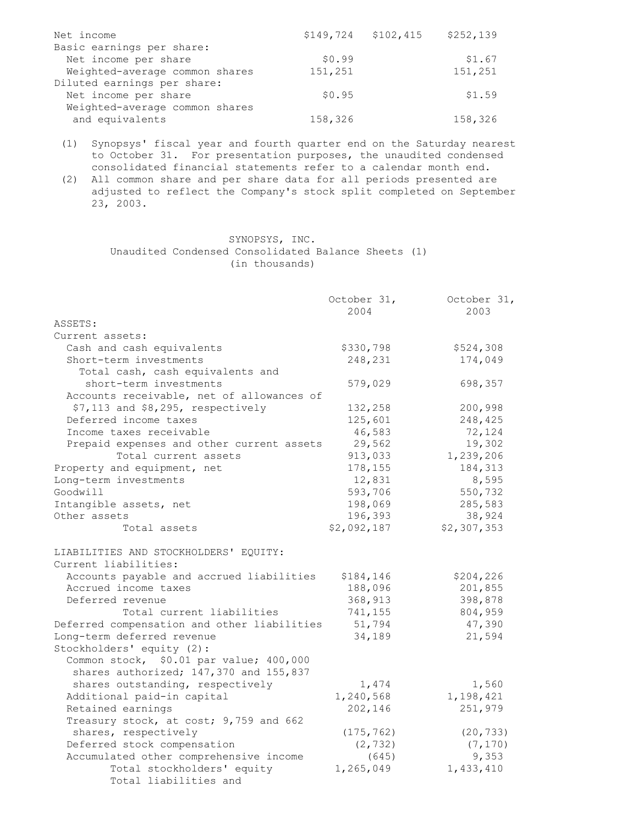| Net income                     |         | $$149,724$ $$102,415$ | \$252,139 |
|--------------------------------|---------|-----------------------|-----------|
| Basic earnings per share:      |         |                       |           |
| Net income per share           | \$0.99  |                       | \$1.67    |
| Weighted-average common shares | 151,251 |                       | 151,251   |
| Diluted earnings per share:    |         |                       |           |
| Net income per share           | \$0.95  |                       | \$1.59    |
| Weighted-average common shares |         |                       |           |
| and equivalents                | 158,326 |                       | 158,326   |

(1) Synopsys' fiscal year and fourth quarter end on the Saturday nearest to October 31. For presentation purposes, the unaudited condensed consolidated financial statements refer to a calendar month end.

(2) All common share and per share data for all periods presented are adjusted to reflect the Company's stock split completed on September 23, 2003.

> SYNOPSYS, INC. Unaudited Condensed Consolidated Balance Sheets (1) (in thousands)

|                                             | October 31, | October 31, |
|---------------------------------------------|-------------|-------------|
|                                             | 2004        | 2003        |
| ASSETS:                                     |             |             |
| Current assets:                             |             |             |
| Cash and cash equivalents                   | \$330,798   | \$524,308   |
| Short-term investments                      | 248,231     | 174,049     |
| Total cash, cash equivalents and            |             |             |
| short-term investments                      | 579,029     | 698,357     |
| Accounts receivable, net of allowances of   |             |             |
| \$7,113 and \$8,295, respectively           | 132,258     | 200,998     |
| Deferred income taxes                       | 125,601     | 248,425     |
| Income taxes receivable                     | 46,583      | 72,124      |
| Prepaid expenses and other current assets   | 29,562      | 19,302      |
| Total current assets                        | 913,033     | 1,239,206   |
| Property and equipment, net                 | 178,155     | 184,313     |
| Long-term investments                       | 12,831      | 8,595       |
| Goodwill                                    | 593,706     | 550,732     |
| Intangible assets, net                      | 198,069     | 285,583     |
| Other assets                                | 196,393     | 38,924      |
| Total assets                                | \$2,092,187 | \$2,307,353 |
| LIABILITIES AND STOCKHOLDERS' EQUITY:       |             |             |
| Current liabilities:                        |             |             |
| Accounts payable and accrued liabilities    | \$184,146   | \$204,226   |
| Accrued income taxes                        | 188,096     | 201,855     |
| Deferred revenue                            | 368,913     | 398,878     |
| Total current liabilities                   | 741,155     | 804,959     |
| Deferred compensation and other liabilities | 51,794      | 47,390      |
| Long-term deferred revenue                  | 34,189      | 21,594      |
| Stockholders' equity (2):                   |             |             |
| Common stock, \$0.01 par value; 400,000     |             |             |
| shares authorized; 147,370 and 155,837      |             |             |
| shares outstanding, respectively            | 1,474       | 1,560       |
| Additional paid-in capital                  | 1,240,568   | 1,198,421   |
| Retained earnings                           | 202,146     | 251,979     |
| Treasury stock, at cost; 9,759 and 662      |             |             |
| shares, respectively                        | (175, 762)  | (20, 733)   |
| Deferred stock compensation                 | (2, 732)    | (7, 170)    |
| Accumulated other comprehensive income      | (645)       | 9,353       |
| Total stockholders' equity                  | 1,265,049   | 1,433,410   |
| Total liabilities and                       |             |             |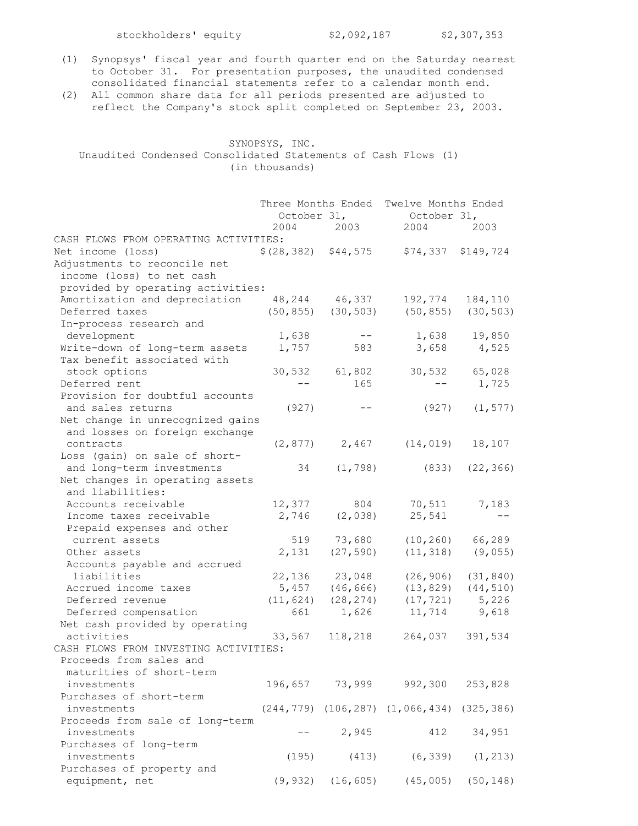stockholders' equity \$2,092,187 \$2,307,353

- (1) Synopsys' fiscal year and fourth quarter end on the Saturday nearest to October 31. For presentation purposes, the unaudited condensed consolidated financial statements refer to a calendar month end.
- (2) All common share data for all periods presented are adjusted to reflect the Company's stock split completed on September 23, 2003.

#### SYNOPSYS, INC. Unaudited Condensed Consolidated Statements of Cash Flows (1) (in thousands)

|                                       |                         | Three Months Ended      | Twelve Months Ended                                    |           |
|---------------------------------------|-------------------------|-------------------------|--------------------------------------------------------|-----------|
|                                       | October 31,             |                         | October 31,                                            |           |
|                                       | 2004                    | 2003                    | 2004                                                   | 2003      |
| CASH FLOWS FROM OPERATING ACTIVITIES: |                         |                         |                                                        |           |
| Net income (loss)                     | $$(28, 382)$ $$44, 575$ |                         | \$74,337                                               | \$149,724 |
| Adjustments to reconcile net          |                         |                         |                                                        |           |
| income (loss) to net cash             |                         |                         |                                                        |           |
| provided by operating activities:     |                         |                         |                                                        |           |
| Amortization and depreciation         |                         | 48, 244 46, 337         | 192,774                                                | 184,110   |
| Deferred taxes                        |                         | $(50, 855)$ $(30, 503)$ | (50, 855)                                              | (30, 503) |
| In-process research and               |                         |                         |                                                        |           |
| development                           | 1,638                   | $ -$                    | 1,638                                                  | 19,850    |
| Write-down of long-term assets        | 1,757                   | 583                     | 3,658                                                  | 4,525     |
| Tax benefit associated with           |                         |                         |                                                        |           |
| stock options                         | 30,532                  | 61,802                  | 30,532                                                 | 65,028    |
| Deferred rent                         |                         | 165                     |                                                        | 1,725     |
| Provision for doubtful accounts       |                         |                         |                                                        |           |
| and sales returns                     | (927)                   |                         | (927)                                                  | (1, 577)  |
| Net change in unrecognized gains      |                         |                         |                                                        |           |
| and losses on foreign exchange        |                         |                         |                                                        |           |
| contracts                             |                         | $(2, 877)$ 2,467        | (14, 019)                                              | 18,107    |
| Loss (gain) on sale of short-         |                         |                         |                                                        |           |
| and long-term investments             | 34                      | (1, 798)                | (833)                                                  | (22, 366) |
| Net changes in operating assets       |                         |                         |                                                        |           |
| and liabilities:                      |                         |                         |                                                        |           |
| Accounts receivable                   | 12,377                  | 804                     | 70,511                                                 | 7,183     |
| Income taxes receivable               | 2,746                   | (2, 038)                | 25,541                                                 |           |
| Prepaid expenses and other            |                         |                         |                                                        |           |
| current assets                        | 519                     | 73,680                  | (10, 260)                                              | 66,289    |
| Other assets                          | 2,131                   | (27, 590)               | (11, 318)                                              | (9, 055)  |
| Accounts payable and accrued          |                         |                         |                                                        |           |
| liabilities                           | 22,136                  | 23,048                  | (26, 906)                                              | (31, 840) |
| Accrued income taxes                  | 5,457                   | (46, 666)               | (13, 829)                                              | (44, 510) |
| Deferred revenue                      | (11, 624)               | (28, 274)               | (17, 721)                                              | 5,226     |
| Deferred compensation                 | 661                     | 1,626                   | 11,714 9,618                                           |           |
| Net cash provided by operating        |                         |                         |                                                        |           |
| activities                            | 33,567                  | 118,218                 | 264,037                                                | 391,534   |
| CASH FLOWS FROM INVESTING ACTIVITIES: |                         |                         |                                                        |           |
| Proceeds from sales and               |                         |                         |                                                        |           |
| maturities of short-term              |                         |                         |                                                        |           |
| investments                           |                         | 196,657 73,999          | 992,300                                                | 253,828   |
| Purchases of short-term               |                         |                         |                                                        |           |
| investments                           |                         |                         | $(244, 779)$ $(106, 287)$ $(1, 066, 434)$ $(325, 386)$ |           |
| Proceeds from sale of long-term       |                         |                         |                                                        |           |
| investments                           |                         | 2,945                   | 412                                                    | 34,951    |
| Purchases of long-term                |                         |                         |                                                        |           |
| investments                           | (195)                   | (413)                   | (6, 339)                                               | (1, 213)  |
| Purchases of property and             |                         |                         |                                                        |           |
| equipment, net                        | (9, 932)                | (16, 605)               | (45,005)                                               | (50, 148) |